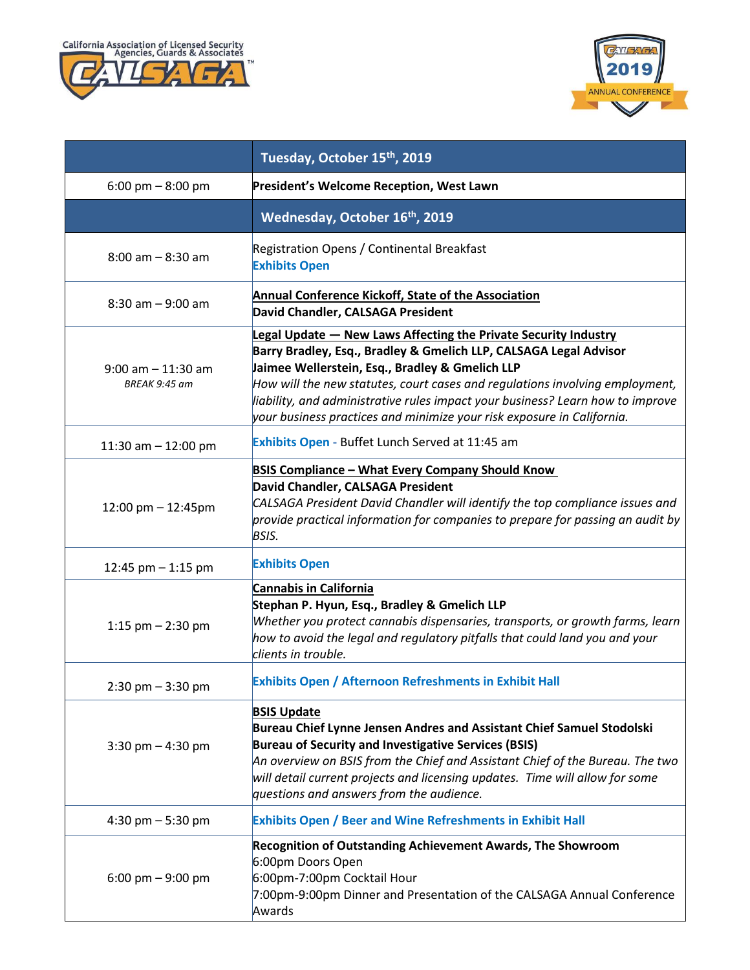



|                                        | Tuesday, October 15 <sup>th</sup> , 2019                                                                                                                                                                                                                                                                                                                                                                                            |
|----------------------------------------|-------------------------------------------------------------------------------------------------------------------------------------------------------------------------------------------------------------------------------------------------------------------------------------------------------------------------------------------------------------------------------------------------------------------------------------|
| 6:00 pm $-$ 8:00 pm                    | President's Welcome Reception, West Lawn                                                                                                                                                                                                                                                                                                                                                                                            |
|                                        | Wednesday, October 16th, 2019                                                                                                                                                                                                                                                                                                                                                                                                       |
| $8:00$ am $-8:30$ am                   | Registration Opens / Continental Breakfast<br><b>Exhibits Open</b>                                                                                                                                                                                                                                                                                                                                                                  |
| $8:30$ am $-9:00$ am                   | Annual Conference Kickoff, State of the Association<br>David Chandler, CALSAGA President                                                                                                                                                                                                                                                                                                                                            |
| $9:00$ am $-11:30$ am<br>BREAK 9:45 am | Legal Update - New Laws Affecting the Private Security Industry<br>Barry Bradley, Esq., Bradley & Gmelich LLP, CALSAGA Legal Advisor<br>Jaimee Wellerstein, Esq., Bradley & Gmelich LLP<br>How will the new statutes, court cases and regulations involving employment,<br>liability, and administrative rules impact your business? Learn how to improve<br>your business practices and minimize your risk exposure in California. |
| 11:30 am - 12:00 pm                    | Exhibits Open - Buffet Lunch Served at 11:45 am                                                                                                                                                                                                                                                                                                                                                                                     |
| 12:00 pm $- 12:45$ pm                  | <b>BSIS Compliance - What Every Company Should Know</b><br>David Chandler, CALSAGA President<br>CALSAGA President David Chandler will identify the top compliance issues and<br>provide practical information for companies to prepare for passing an audit by<br><b>BSIS.</b>                                                                                                                                                      |
| 12:45 pm $-$ 1:15 pm                   | <b>Exhibits Open</b>                                                                                                                                                                                                                                                                                                                                                                                                                |
| 1:15 pm $-$ 2:30 pm                    | <b>Cannabis in California</b><br>Stephan P. Hyun, Esq., Bradley & Gmelich LLP<br>Whether you protect cannabis dispensaries, transports, or growth farms, learn<br>how to avoid the legal and regulatory pitfalls that could land you and your<br>clients in trouble.                                                                                                                                                                |
| $2:30 \text{ pm} - 3:30 \text{ pm}$    | <b>Exhibits Open / Afternoon Refreshments in Exhibit Hall</b>                                                                                                                                                                                                                                                                                                                                                                       |
| $3:30$ pm $- 4:30$ pm                  | <b>BSIS Update</b><br>Bureau Chief Lynne Jensen Andres and Assistant Chief Samuel Stodolski<br><b>Bureau of Security and Investigative Services (BSIS)</b><br>An overview on BSIS from the Chief and Assistant Chief of the Bureau. The two $\,$<br>will detail current projects and licensing updates. Time will allow for some<br>questions and answers from the audience.                                                        |
| 4:30 pm $-$ 5:30 pm                    | <b>Exhibits Open / Beer and Wine Refreshments in Exhibit Hall</b>                                                                                                                                                                                                                                                                                                                                                                   |
| 6:00 pm $-$ 9:00 pm                    | <b>Recognition of Outstanding Achievement Awards, The Showroom</b><br>6:00pm Doors Open<br>6:00pm-7:00pm Cocktail Hour<br>7:00pm-9:00pm Dinner and Presentation of the CALSAGA Annual Conference<br>Awards                                                                                                                                                                                                                          |